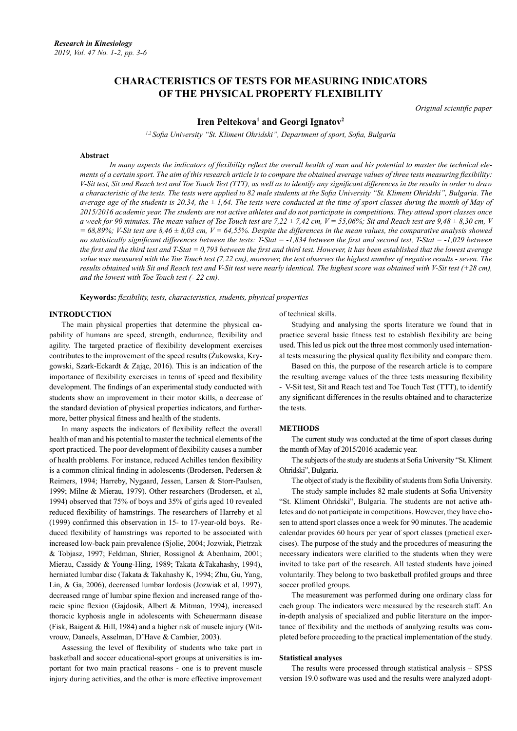# **CHARACTERISTICS OF TESTS FOR MEASURING INDICATORS OF THE PHYSICAL PROPERTY FLEXIBILITY**

*Original scientific paper*

## Iren Peltekova<sup>1</sup> and Georgi Ignatov<sup>2</sup>

*1,2 Sofia University "St. Kliment Ohridski", Department of sport, Sofia, Bulgaria*

#### **Abstract**

*In many aspects the indicators of flexibility reflect the overall health of man and his potential to master the technical elements of a certain sport. The aim of this research article is to compare the obtained average values of three tests measuring flexibility: V-Sit test, Sit and Reach test and Toe Touch Test (TTT), as well as to identify any significant differences in the results in order to draw a characteristic of the tests. The tests were applied to 82 male students at the Sofia University "St. Kliment Ohridski", Bulgaria. The average age of the students is 20.34, the ± 1,64. The tests were conducted at the time of sport classes during the month of May of 2015/2016 academic year. The students are not active athletes and do not participate in competitions. They attend sport classes once a* week for 90 minutes. The mean values of Toe Touch test are 7,22  $\pm$  7,42 cm,  $V = 55,06\%$ ; Sit and Reach test are 9,48  $\pm$  8,30 cm, V  $= 68,89\%$ ; V-Sit test are  $8,46 \pm 8,03$  cm,  $V = 64,55\%$ . Despite the differences in the mean values, the comparative analysis showed *no statistically significant differences between the tests: T-Stat = -1,834 between the first and second test, T-Stat = -1,029 between the first and the third test and T-Stat = 0,793 between the first and third test. However, it has been established that the lowest average value was measured with the Toe Touch test (7,22 cm), moreover, the test observes the highest number of negative results - seven. The results obtained with Sit and Reach test and V-Sit test were nearly identical. The highest score was obtained with V-Sit test (+28 cm), and the lowest with Toe Touch test (- 22 cm).*

**Keywords:** *flexibility, tests, characteristics, students, physical properties*

### **INTRODUCTION**

The main physical properties that determine the physical capability of humans are speed, strength, endurance, flexibility and agility. The targeted practice of flexibility development exercises contributes to the improvement of the speed results (Żukowska, Krygowski, Szark-Eckardt & Zając, 2016). This is an indication of the importance of flexibility exercises in terms of speed and flexibility development. The findings of an experimental study conducted with students show an improvement in their motor skills, a decrease of the standard deviation of physical properties indicators, and furthermore, better physical fitness and health of the students.

In many aspects the indicators of flexibility reflect the overall health of man and his potential to master the technical elements of the sport practiced. The poor development of flexibility causes a number of health problems. For instance, reduced Achilles tendon flexibility is a common clinical finding in adolescents (Brodersen, Pedersen & Reimers, 1994; Harreby, Nygaard, Jessen, Larsen & Storr-Paulsen, 1999; Milne & Mierau, 1979). Other researchers (Brodersen, et al, 1994) observed that 75% of boys and 35% of girls aged 10 revealed reduced flexibility of hamstrings. The researchers of Harreby et al (1999) confirmed this observation in 15- to 17-year-old boys. Reduced flexibility of hamstrings was reported to be associated with increased low-back pain prevalence (Sjolie, 2004; Jozwiak, Pietrzak & Tobjasz, 1997; Feldman, Shrier, Rossignol & Abenhaim, 2001; Mierau, Cassidy & Young-Hing, 1989; Takata &Takahashy, 1994), herniated lumbar disc (Takata & Takahashy K, 1994; Zhu, Gu, Yang, Lin, & Ga, 2006), decreased lumbar lordosis (Jozwiak et al, 1997), decreased range of lumbar spine flexion and increased range of thoracic spine flexion (Gajdosik, Albert & Mitman, 1994), increased thoracic kyphosis angle in adolescents with Scheuermann disease (Fisk, Baigent & Hill, 1984) and a higher risk of muscle injury (Witvrouw, Daneels, Asselman, D'Have & Cambier, 2003).

Assessing the level of flexibility of students who take part in basketball and soccer educational-sport groups at universities is important for two main practical reasons - one is to prevent muscle injury during activities, and the other is more effective improvement of technical skills.

Studying and analysing the sports literature we found that in practice several basic fitness test to establish flexibility are being used. This led us pick out the three most commonly used international tests measuring the physical quality flexibility and compare them.

Based on this, the purpose of the research article is to compare the resulting average values of the three tests measuring flexibility - V-Sit test, Sit and Reach test and Toe Touch Test (TTT), to identify any significant differences in the results obtained and to characterize the tests.

### **METHODS**

The current study was conducted at the time of sport classes during the month of May of 2015/2016 academic year.

The subjects of the study are students at Sofia University "St. Kliment Ohridski", Bulgaria.

The object of study is the flexibility of students from Sofia University.

The study sample includes 82 male students at Sofia University "St. Kliment Ohridski", Bulgaria. The students are not active athletes and do not participate in competitions. However, they have chosen to attend sport classes once a week for 90 minutes. The academic calendar provides 60 hours per year of sport classes (practical exercises). The purpose of the study and the procedures of measuring the necessary indicators were clarified to the students when they were invited to take part of the research. All tested students have joined voluntarily. They belong to two basketball profiled groups and three soccer profiled groups.

The measurement was performed during one ordinary class for each group. The indicators were measured by the research staff. An in-depth analysis of specialized and public literature on the importance of flexibility and the methods of analyzing results was completed before proceeding to the practical implementation of the study.

#### **Statistical analyses**

The results were processed through statistical analysis – SPSS version 19.0 software was used and the results were analyzed adopt-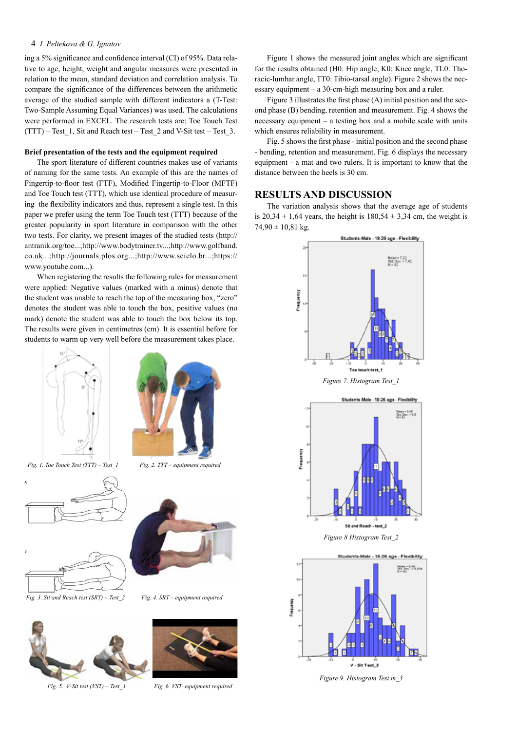### 4 *I. Peltekova & G. Ignatov*

ing a 5% significance and confidence interval (CI) of 95%. Data relative to age, height, weight and angular measures were presented in relation to the mean, standard deviation and correlation analysis. To compare the significance of the differences between the arithmetic average of the studied sample with different indicators a (T-Test: Two-Sample Assuming Equal Variances) was used. The calculations were performed in EXCEL. The research tests are: Toe Touch Test  $(TTT)$  – Test 1, Sit and Reach test – Test 2 and V-Sit test – Test 3.

# **Brief presentation of the tests and the equipment required**

The sport literature of different countries makes use of variants of naming for the same tests. An example of this are the names of Fingertip-to-floor test (FTF), Modified Fingertip-to-Floor (MFTF) and Toe Touch test (TTT), which use identical procedure of measuring the flexibility indicators and thus, represent a single test. In this paper we prefer using the term Toe Touch test (TTT) because of the greater popularity in sport literature in comparison with the other two tests. For clarity, we present images of the studied tests (http:// antranik.org/toe...;http://www.bodytrainer.tv...;http://www.golfband. co.uk...;http://journals.plos.org...;http://www.scielo.br...;https:// www.youtube.com...).

When registering the results the following rules for measurement were applied: Negative values (marked with a minus) denote that the student was unable to reach the top of the measuring box, "zero" denotes the student was able to touch the box, positive values (no mark) denote the student was able to touch the box below its top. The results were given in centimetres (cm). It is essential before for students to warm up very well before the measurement takes place.





 *Fig. 1. Toe Touch Test (TTT) – Test\_1 Fig. 2. TTT – equipment required*







Figure 1 shows the measured joint angles which are significant for the results obtained (H0: Hip angle, K0: Knee angle, TL0: Thoracic-lumbar angle, TT0: Tibio-tarsal angle). Figure 2 shows the necessary equipment – a 30-cm-high measuring box and a ruler.

Figure 3 illustrates the first phase (A) initial position and the second phase (B) bending, retention and measurement. Fig. 4 shows the necessary equipment – a testing box and a mobile scale with units which ensures reliability in measurement.

Fig. 5 shows the first phase - initial position and the second phase - bending, retention and measurement. Fig. 6 displays the necessary equipment - a mat and two rulers. It is important to know that the distance between the heels is 30 cm.

# **RESULTS AND DISCUSSION**

The variation analysis shows that the average age of students is  $20,34 \pm 1,64$  years, the height is  $180,54 \pm 3,34$  cm, the weight is  $74,90 \pm 10,81$  kg.



*Figure 9. Histogram Test т\_3*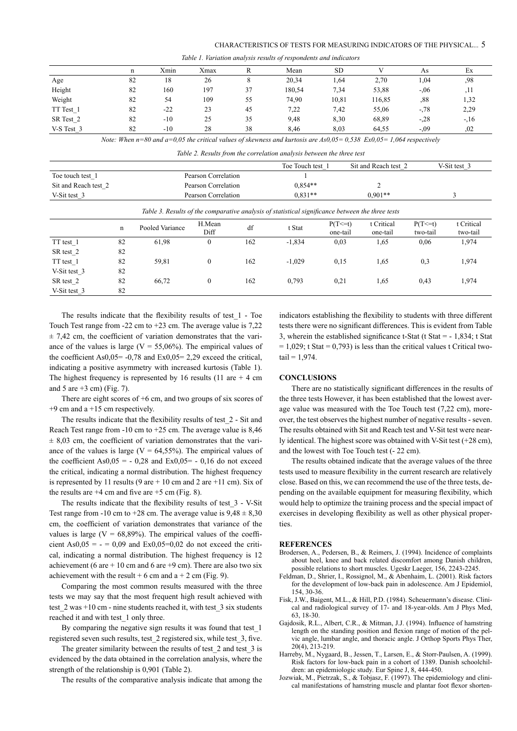|            |    | Xmin  | Xmax |    | Mean   | <b>SD</b> |        | As     | ЕX    |
|------------|----|-------|------|----|--------|-----------|--------|--------|-------|
| Age        | 82 | 18    | 26   |    | 20,34  | .,64      | 2,70   | 1,04   | .98   |
| Height     | 82 | 160   | 197  | 37 | 180,54 | 7.34      | 53,88  | $-.06$ | ,11   |
| Weight     | 82 | 54    | 109  | 55 | 74,90  | 10,81     | 116,85 | ,88    | 1,32  |
| TT Test 1  | 82 | $-22$ | 23   | 45 | 7,22   | 7.42      | 55,06  | $-78$  | 2,29  |
| SR Test 2  | 82 | $-10$ | 25   | 35 | 9.48   | 8,30      | 68,89  | $-28$  | $-16$ |
| V-S Test 3 | 82 | $-10$ | 28   | 38 | 8,46   | 8,03      | 64,55  | $-.09$ | .02   |

*Table 1. Variation analysis results of respondents and indicators*

*Note: When n=80 and а=0,05 the critical values of skewness and kurtosis are As0,05= 0,538 Ex0,05= 1,064 respectively*

| Table 2. Results from the correlation analysis between the three test |  |
|-----------------------------------------------------------------------|--|

|                      |                                                                                                  |                     |                |           | Toe Touch test 1 |                          | Sit and Reach test 2   |                          | V-Sit test 3           |  |
|----------------------|--------------------------------------------------------------------------------------------------|---------------------|----------------|-----------|------------------|--------------------------|------------------------|--------------------------|------------------------|--|
| Toe touch test 1     | Pearson Correlation                                                                              |                     |                |           |                  |                          |                        |                          |                        |  |
| Sit and Reach test 2 |                                                                                                  | Pearson Correlation |                | $0.854**$ |                  | $\overline{2}$           |                        |                          |                        |  |
| V-Sit test 3         |                                                                                                  | Pearson Correlation |                | $0.831**$ |                  | $0.901**$                | 3                      |                          |                        |  |
|                      | Table 3. Results of the comparative analysis of statistical significance between the three tests |                     |                |           |                  |                          |                        |                          |                        |  |
|                      | n                                                                                                | Pooled Variance     | H.Mean<br>Diff | df        | t Stat           | $P(T\leq t)$<br>one-tail | t Critical<br>one-tail | $P(T\leq=t)$<br>two-tail | t Critical<br>two-tail |  |
| TT test 1            | 82                                                                                               | 61,98               | $\Omega$       | 162       | $-1,834$         | 0.03                     | 1,65                   | 0,06                     | 1,974                  |  |
| SR test 2            | 82                                                                                               |                     |                |           |                  |                          |                        |                          |                        |  |
| TT test 1            | 82                                                                                               | 59,81               | $\mathbf{0}$   | 162       | $-1,029$         | 0,15                     | 1,65                   | 0,3                      | 1,974                  |  |
| V-Sit test 3         | 82                                                                                               |                     |                |           |                  |                          |                        |                          |                        |  |
| SR test 2            | 82                                                                                               | 66,72               | $\mathbf{0}$   | 162       | 0.793            | 0,21                     | 1,65                   | 0,43                     | 1,974                  |  |
| V-Sit test 3         | 82                                                                                               |                     |                |           |                  |                          |                        |                          |                        |  |

The results indicate that the flexibility results of test\_1 - Toe Touch Test range from -22 cm to +23 cm. The average value is 7,22  $\pm$  7,42 cm, the coefficient of variation demonstrates that the variance of the values is large ( $V = 55,06\%$ ). The empirical values of the coefficient As0,05= -0,78 and Ex0,05= 2,29 exceed the critical, indicating a positive asymmetry with increased kurtosis (Table 1). The highest frequency is represented by 16 results (11 are  $+4$  cm and 5 are  $+3$  cm) (Fig. 7).

There are eight scores of +6 cm, and two groups of six scores of  $+9$  cm and a  $+15$  cm respectively.

The results indicate that the flexibility results of test\_2 - Sit and Reach Test range from -10 cm to +25 cm. The average value is 8,46  $\pm$  8,03 cm, the coefficient of variation demonstrates that the variance of the values is large ( $V = 64,55\%$ ). The empirical values of the coefficient As0,05 =  $-$  0,28 and Ex0,05 =  $-$  0,16 do not exceed the critical, indicating a normal distribution. The highest frequency is represented by 11 results (9 are  $+ 10$  cm and 2 are  $+11$  cm). Six of the results are  $+4$  cm and five are  $+5$  cm (Fig. 8).

The results indicate that the flexibility results of test\_3 - V-Sit Test range from -10 cm to +28 cm. The average value is  $9,48 \pm 8,30$ cm, the coefficient of variation demonstrates that variance of the values is large ( $V = 68,89\%$ ). The empirical values of the coefficient As0,05 =  $-$  = 0,09 and Ex0,05=0,02 do not exceed the critical, indicating a normal distribution. The highest frequency is 12 achievement (6 are  $+10$  cm and 6 are  $+9$  cm). There are also two six achievement with the result + 6 cm and  $a + 2$  cm (Fig. 9).

Comparing the most common results measured with the three tests we may say that the most frequent high result achieved with test  $2$  was  $+10$  cm - nine students reached it, with test  $3$  six students reached it and with test\_1 only three.

By comparing the negative sign results it was found that test\_1 registered seven such results, test\_2 registered six, while test\_3, five.

The greater similarity between the results of test\_2 and test\_3 is evidenced by the data obtained in the correlation analysis, where the strength of the relationship is 0,901 (Table 2).

The results of the comparative analysis indicate that among the

indicators establishing the flexibility to students with three different tests there were no significant differences. This is evident from Table 3, wherein the established significance t-Stat (t Stat = - 1,834; t Stat  $= 1,029$ ; t Stat  $= 0,793$ ) is less than the critical values t Critical two $tail = 1,974.$ 

### **CONCLUSIONS**

There are no statistically significant differences in the results of the three tests However, it has been established that the lowest average value was measured with the Toe Touch test (7,22 cm), moreover, the test observes the highest number of negative results - seven. The results obtained with Sit and Reach test and V-Sit test were nearly identical. The highest score was obtained with V-Sit test (+28 cm), and the lowest with Toe Touch test (- 22 cm).

The results obtained indicate that the average values of the three tests used to measure flexibility in the current research are relatively close. Based on this, we can recommend the use of the three tests, depending on the available equipment for measuring flexibility, which would help to optimize the training process and the special impact of exercises in developing flexibility as well as other physical properties.

#### **REFERENCES**

- Brodersen, A., Pedersen, B., & Reimers, J. (1994). Incidence of complaints about heel, knee and back related discomfort among Danish children, possible relations to short muscles. Ugeskr Laeger, 156, 2243-2245.
- Feldman, D., Shrier, I., Rossignol, M., & Abenhaim, L. (2001). Risk factors for the development of low-back pain in adolescence. Am J Epidemiol, 154, 30-36.
- Fisk, J.W., Baigent, M.L., & Hill, P.D. (1984). Scheuermann's disease. Clinical and radiological survey of 17- and 18-year-olds. Am J Phys Med, 63, 18-30.
- Gajdosik, R.L., Albert, C.R., & Mitman, J.J. (1994). Influence of hamstring length on the standing position and flexion range of motion of the pelvic angle, lumbar angle, and thoracic angle. J Orthop Sports Phys Ther, 20(4), 213-219.
- Harreby, M., Nygaard, B., Jessen, T., Larsen, E., & Storr-Paulsen, A. (1999). Risk factors for low-back pain in a cohort of 1389. Danish schoolchildren: an epidemiologic study. Eur Spine J, 8, 444-450.
- Jozwiak, M., Pietrzak, S., & Tobjasz, F. (1997). The epidemiology and clinical manifestations of hamstring muscle and plantar foot flexor shorten-